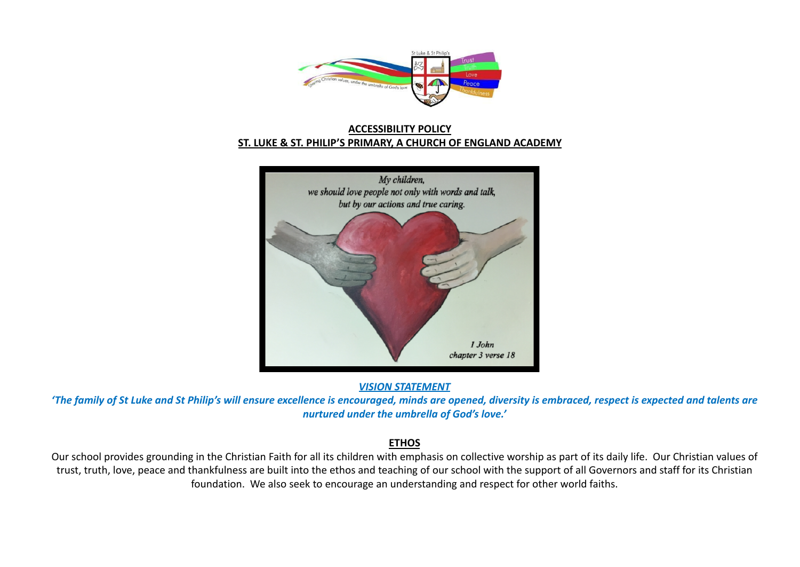

## **ACCESSIBILITY POLICY ST. LUKE & ST. PHILIP'S PRIMARY, A CHURCH OF ENGLAND ACADEMY**



*VISION STATEMENT*

*'The family of St Luke and St Philip's will ensure excellence is encouraged, minds are opened, diversity is embraced, respect is expected and talents are nurtured under the umbrella of God's love.'*

### **ETHOS**

Our school provides grounding in the Christian Faith for all its children with emphasis on collective worship as part of its daily life. Our Christian values of trust, truth, love, peace and thankfulness are built into the ethos and teaching of our school with the support of all Governors and staff for its Christian foundation. We also seek to encourage an understanding and respect for other world faiths.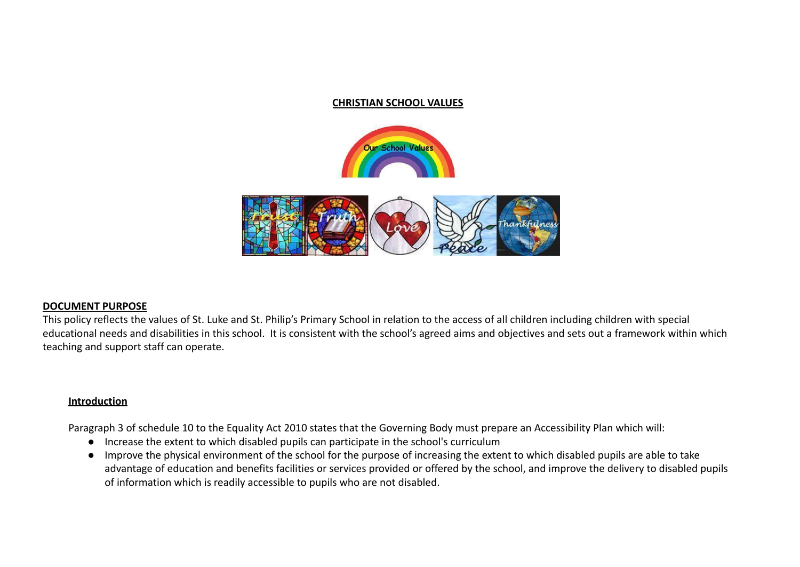#### **CHRISTIAN SCHOOL VALUES**





#### **DOCUMENT PURPOSE**

This policy reflects the values of St. Luke and St. Philip's Primary School in relation to the access of all children including children with special educational needs and disabilities in this school. It is consistent with the school's agreed aims and objectives and sets out a framework within which teaching and support staff can operate.

#### **Introduction**

Paragraph 3 of schedule 10 to the Equality Act 2010 states that the Governing Body must prepare an Accessibility Plan which will:

- Increase the extent to which disabled pupils can participate in the school's curriculum
- Improve the physical environment of the school for the purpose of increasing the extent to which disabled pupils are able to take advantage of education and benefits facilities or services provided or offered by the school, and improve the delivery to disabled pupils of information which is readily accessible to pupils who are not disabled.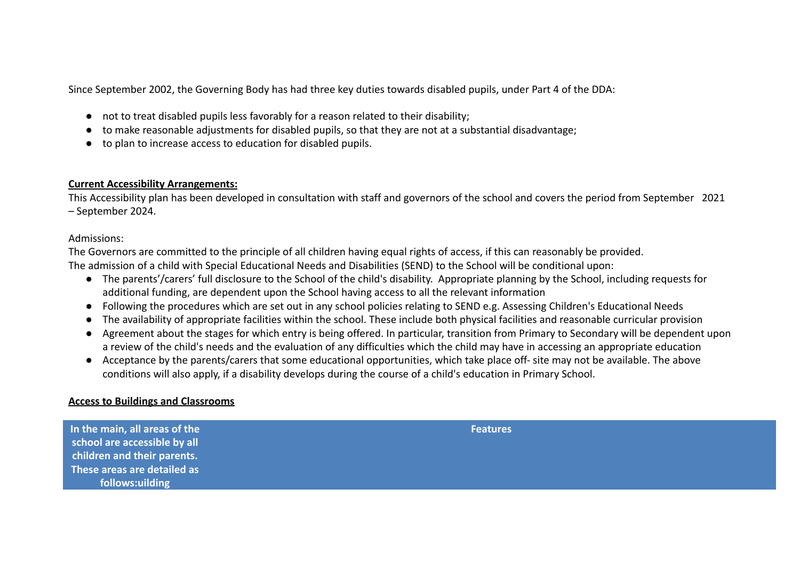Since September 2002, the Governing Body has had three key duties towards disabled pupils, under Part 4 of the DDA:

- not to treat disabled pupils less favorably for a reason related to their disability;
- to make reasonable adjustments for disabled pupils, so that they are not at a substantial disadvantage;
- to plan to increase access to education for disabled pupils.

### **Current Accessibility Arrangements:**

This Accessibility plan has been developed in consultation with staff and governors of the school and covers the period from September 2021 – September 2024.

### Admissions:

The Governors are committed to the principle of all children having equal rights of access, if this can reasonably be provided. The admission of a child with Special Educational Needs and Disabilities (SEND) to the School will be conditional upon:

- The parents'/carers' full disclosure to the School of the child's disability. Appropriate planning by the School, including requests for additional funding, are dependent upon the School having access to all the relevant information
- Following the procedures which are set out in any school policies relating to SEND e.g. Assessing Children's Educational Needs
- The availability of appropriate facilities within the school. These include both physical facilities and reasonable curricular provision
- Agreement about the stages for which entry is being offered. In particular, transition from Primary to Secondary will be dependent upon a review of the child's needs and the evaluation of any difficulties which the child may have in accessing an appropriate education
- Acceptance by the parents/carers that some educational opportunities, which take place off- site may not be available. The above conditions will also apply, if a disability develops during the course of a child's education in Primary School.

### **Access to Buildings and Classrooms**

| In the main, all areas of the<br>school are accessible by all | <b>Features</b> |
|---------------------------------------------------------------|-----------------|
| children and their parents.                                   |                 |
| These areas are detailed as                                   |                 |
| follows:uilding                                               |                 |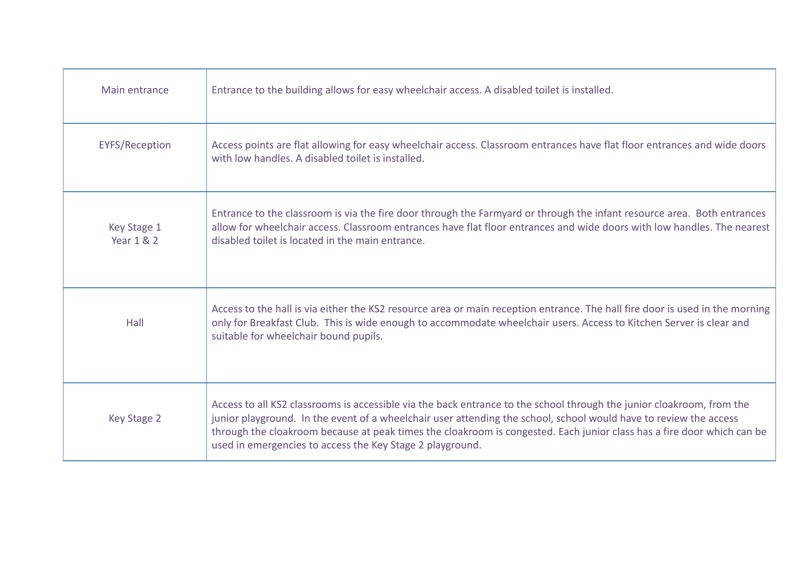| Main entrance                        | Entrance to the building allows for easy wheelchair access. A disabled toilet is installed.                                                                                                                                                                                                                                                                                                                                       |
|--------------------------------------|-----------------------------------------------------------------------------------------------------------------------------------------------------------------------------------------------------------------------------------------------------------------------------------------------------------------------------------------------------------------------------------------------------------------------------------|
| <b>EYFS/Reception</b>                | Access points are flat allowing for easy wheelchair access. Classroom entrances have flat floor entrances and wide doors<br>with low handles. A disabled toilet is installed.                                                                                                                                                                                                                                                     |
| Key Stage 1<br><b>Year 1 &amp; 2</b> | Entrance to the classroom is via the fire door through the Farmyard or through the infant resource area. Both entrances<br>allow for wheelchair access. Classroom entrances have flat floor entrances and wide doors with low handles. The nearest<br>disabled toilet is located in the main entrance.                                                                                                                            |
| Hall                                 | Access to the hall is via either the KS2 resource area or main reception entrance. The hall fire door is used in the morning<br>only for Breakfast Club. This is wide enough to accommodate wheelchair users. Access to Kitchen Server is clear and<br>suitable for wheelchair bound pupils.                                                                                                                                      |
| Key Stage 2                          | Access to all KS2 classrooms is accessible via the back entrance to the school through the junior cloakroom, from the<br>junior playground. In the event of a wheelchair user attending the school, school would have to review the access<br>through the cloakroom because at peak times the cloakroom is congested. Each junior class has a fire door which can be<br>used in emergencies to access the Key Stage 2 playground. |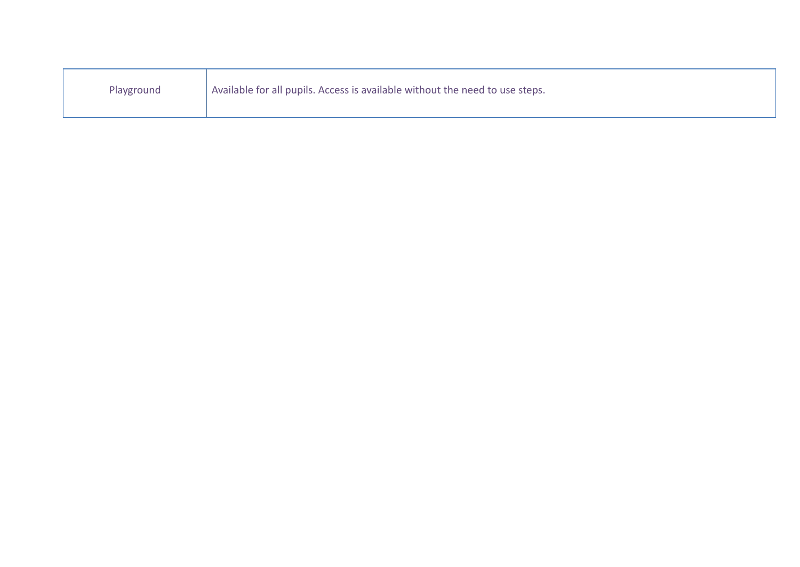| Playground | Available for all pupils. Access is available without the need to use steps. |
|------------|------------------------------------------------------------------------------|
|------------|------------------------------------------------------------------------------|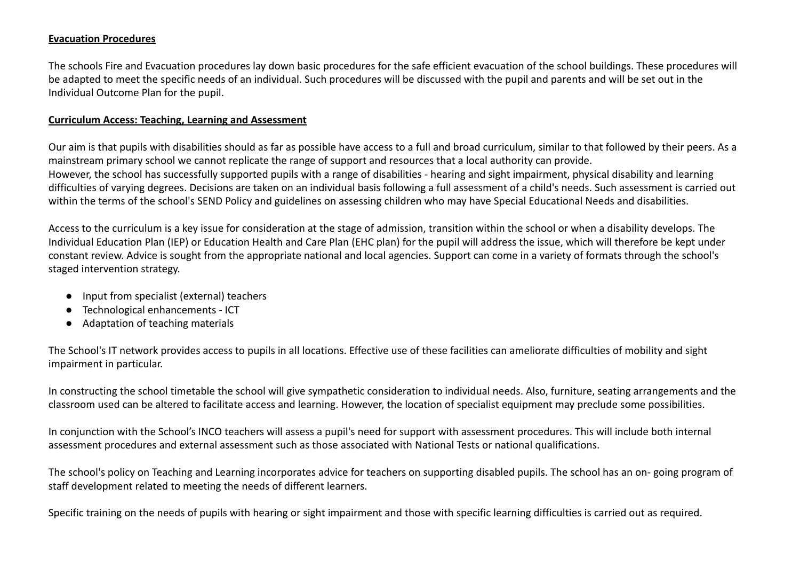### **Evacuation Procedures**

The schools Fire and Evacuation procedures lay down basic procedures for the safe efficient evacuation of the school buildings. These procedures will be adapted to meet the specific needs of an individual. Such procedures will be discussed with the pupil and parents and will be set out in the Individual Outcome Plan for the pupil.

### **Curriculum Access: Teaching, Learning and Assessment**

Our aim is that pupils with disabilities should as far as possible have access to a full and broad curriculum, similar to that followed by their peers. As a mainstream primary school we cannot replicate the range of support and resources that a local authority can provide. However, the school has successfully supported pupils with a range of disabilities - hearing and sight impairment, physical disability and learning difficulties of varying degrees. Decisions are taken on an individual basis following a full assessment of a child's needs. Such assessment is carried out within the terms of the school's SEND Policy and guidelines on assessing children who may have Special Educational Needs and disabilities.

Access to the curriculum is a key issue for consideration at the stage of admission, transition within the school or when a disability develops. The Individual Education Plan (IEP) or Education Health and Care Plan (EHC plan) for the pupil will address the issue, which will therefore be kept under constant review. Advice is sought from the appropriate national and local agencies. Support can come in a variety of formats through the school's staged intervention strategy.

- Input from specialist (external) teachers
- Technological enhancements ICT
- Adaptation of teaching materials

The School's IT network provides access to pupils in all locations. Effective use of these facilities can ameliorate difficulties of mobility and sight impairment in particular.

In constructing the school timetable the school will give sympathetic consideration to individual needs. Also, furniture, seating arrangements and the classroom used can be altered to facilitate access and learning. However, the location of specialist equipment may preclude some possibilities.

In conjunction with the School's INCO teachers will assess a pupil's need for support with assessment procedures. This will include both internal assessment procedures and external assessment such as those associated with National Tests or national qualifications.

The school's policy on Teaching and Learning incorporates advice for teachers on supporting disabled pupils. The school has an on- going program of staff development related to meeting the needs of different learners.

Specific training on the needs of pupils with hearing or sight impairment and those with specific learning difficulties is carried out as required.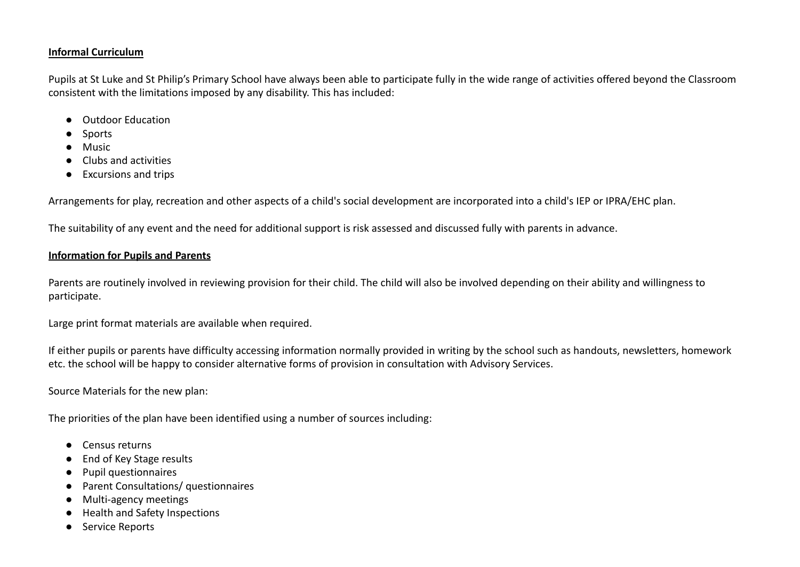### **Informal Curriculum**

Pupils at St Luke and St Philip's Primary School have always been able to participate fully in the wide range of activities offered beyond the Classroom consistent with the limitations imposed by any disability. This has included:

- Outdoor Education
- Sports
- Music
- Clubs and activities
- Excursions and trips

Arrangements for play, recreation and other aspects of a child's social development are incorporated into a child's IEP or IPRA/EHC plan.

The suitability of any event and the need for additional support is risk assessed and discussed fully with parents in advance.

## **Information for Pupils and Parents**

Parents are routinely involved in reviewing provision for their child. The child will also be involved depending on their ability and willingness to participate.

Large print format materials are available when required.

If either pupils or parents have difficulty accessing information normally provided in writing by the school such as handouts, newsletters, homework etc. the school will be happy to consider alternative forms of provision in consultation with Advisory Services.

Source Materials for the new plan:

The priorities of the plan have been identified using a number of sources including:

- Census returns
- End of Key Stage results
- Pupil questionnaires
- Parent Consultations/ questionnaires
- Multi-agency meetings
- Health and Safety Inspections
- Service Reports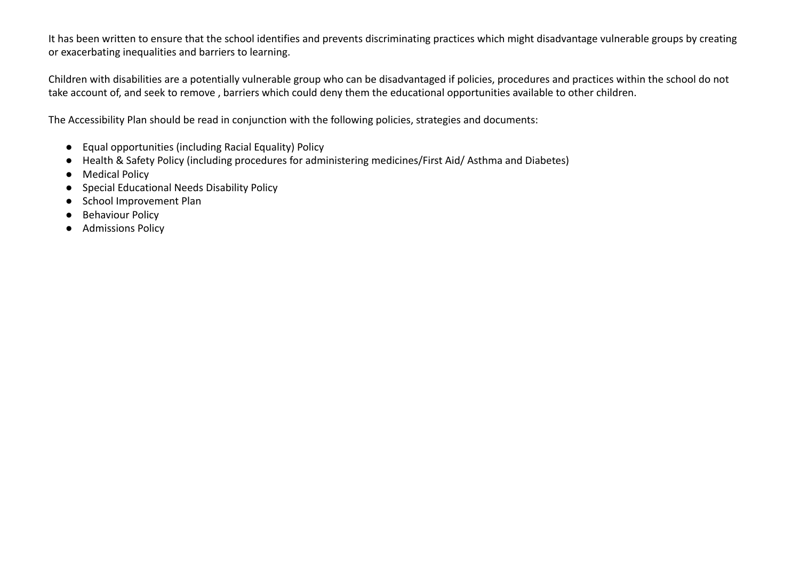It has been written to ensure that the school identifies and prevents discriminating practices which might disadvantage vulnerable groups by creating or exacerbating inequalities and barriers to learning.

Children with disabilities are a potentially vulnerable group who can be disadvantaged if policies, procedures and practices within the school do not take account of, and seek to remove , barriers which could deny them the educational opportunities available to other children.

The Accessibility Plan should be read in conjunction with the following policies, strategies and documents:

- Equal opportunities (including Racial Equality) Policy
- Health & Safety Policy (including procedures for administering medicines/First Aid/ Asthma and Diabetes)
- Medical Policy
- Special Educational Needs Disability Policy
- School Improvement Plan
- Behaviour Policy
- Admissions Policy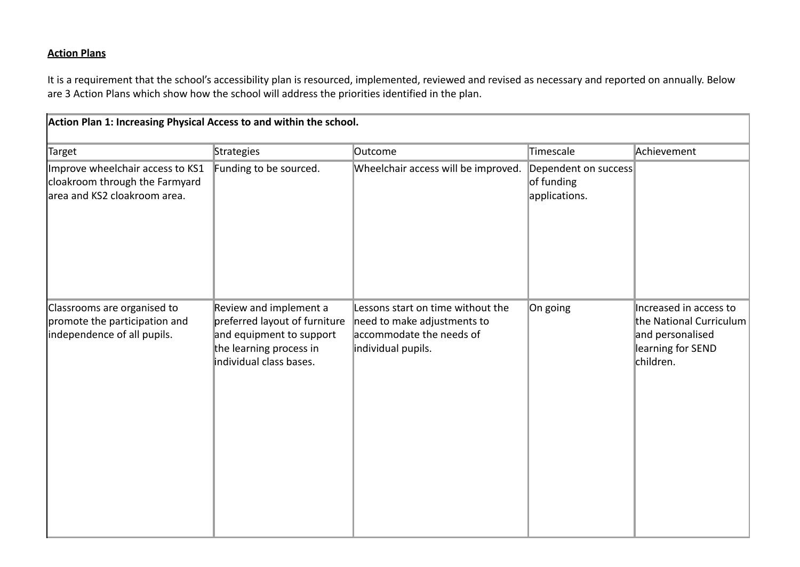# **Action Plans**

It is a requirement that the school's accessibility plan is resourced, implemented, reviewed and revised as necessary and reported on annually. Below are 3 Action Plans which show how the school will address the priorities identified in the plan.

| Action Plan 1: Increasing Physical Access to and within the school.                                 |                                                                                                                                           |                                                                                                                    |                                                     |                                                                                                         |
|-----------------------------------------------------------------------------------------------------|-------------------------------------------------------------------------------------------------------------------------------------------|--------------------------------------------------------------------------------------------------------------------|-----------------------------------------------------|---------------------------------------------------------------------------------------------------------|
| Target                                                                                              | Strategies                                                                                                                                | Outcome                                                                                                            | Timescale                                           | Achievement                                                                                             |
| Improve wheelchair access to KS1<br>cloakroom through the Farmyard<br>larea and KS2 cloakroom area. | Funding to be sourced.                                                                                                                    | Wheelchair access will be improved.                                                                                | Dependent on success<br>of funding<br>applications. |                                                                                                         |
| Classrooms are organised to<br>promote the participation and<br>independence of all pupils.         | Review and implement a<br>preferred layout of furniture<br>and equipment to support<br>the learning process in<br>individual class bases. | Lessons start on time without the<br>need to make adjustments to<br>accommodate the needs of<br>individual pupils. | On going                                            | Increased in access to<br>the National Curriculum<br>and personalised<br>learning for SEND<br>children. |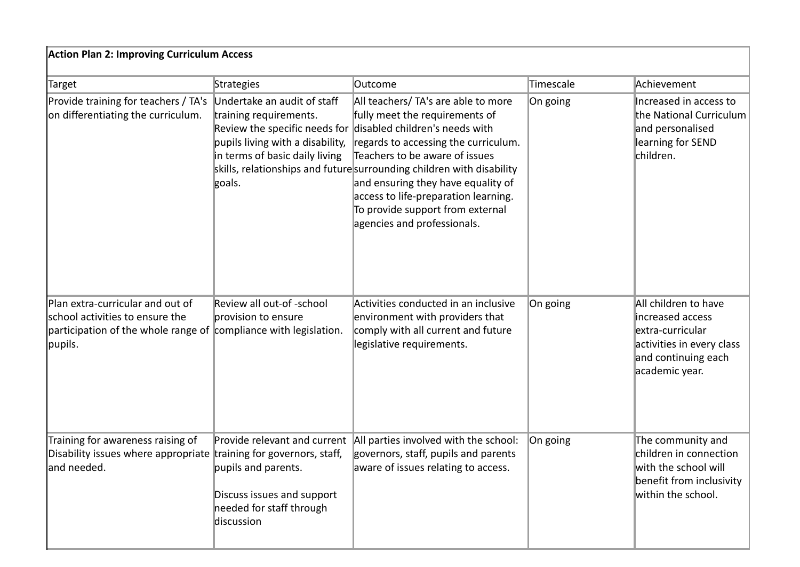| <b>Action Plan 2: Improving Curriculum Access</b>                                                                                                  |                                                                                                                                       |                                                                                                                                                                                                                                                                                                                                                                                                                                          |           |                                                                                                                                    |
|----------------------------------------------------------------------------------------------------------------------------------------------------|---------------------------------------------------------------------------------------------------------------------------------------|------------------------------------------------------------------------------------------------------------------------------------------------------------------------------------------------------------------------------------------------------------------------------------------------------------------------------------------------------------------------------------------------------------------------------------------|-----------|------------------------------------------------------------------------------------------------------------------------------------|
| Target                                                                                                                                             | Strategies                                                                                                                            | <b>Outcome</b>                                                                                                                                                                                                                                                                                                                                                                                                                           | Timescale | Achievement                                                                                                                        |
| Provide training for teachers / TA's<br>on differentiating the curriculum.                                                                         | Undertake an audit of staff<br>training requirements.<br>pupils living with a disability,<br>in terms of basic daily living<br>goals. | All teachers/ TA's are able to more<br>fully meet the requirements of<br>Review the specific needs for disabled children's needs with<br>regards to accessing the curriculum.<br>Teachers to be aware of issues<br>skills, relationships and futuresurrounding children with disability<br>and ensuring they have equality of<br>access to life-preparation learning.<br>To provide support from external<br>agencies and professionals. | On going  | Increased in access to<br>the National Curriculum<br>and personalised<br>learning for SEND<br>children.                            |
| Plan extra-curricular and out of<br>school activities to ensure the<br>participation of the whole range of compliance with legislation.<br>pupils. | Review all out-of -school<br>provision to ensure                                                                                      | Activities conducted in an inclusive<br>environment with providers that<br>comply with all current and future<br>legislative requirements.                                                                                                                                                                                                                                                                                               | On going  | All children to have<br>increased access<br>extra-curricular<br>activities in every class<br>and continuing each<br>academic year. |
| Training for awareness raising of<br>Disability issues where appropriate training for governors, staff,<br>land needed.                            | Provide relevant and current<br>pupils and parents.<br>Discuss issues and support<br>needed for staff through<br>discussion           | All parties involved with the school:<br>governors, staff, pupils and parents<br>aware of issues relating to access.                                                                                                                                                                                                                                                                                                                     | On going  | The community and<br>children in connection<br>with the school will<br>benefit from inclusivity<br>within the school.              |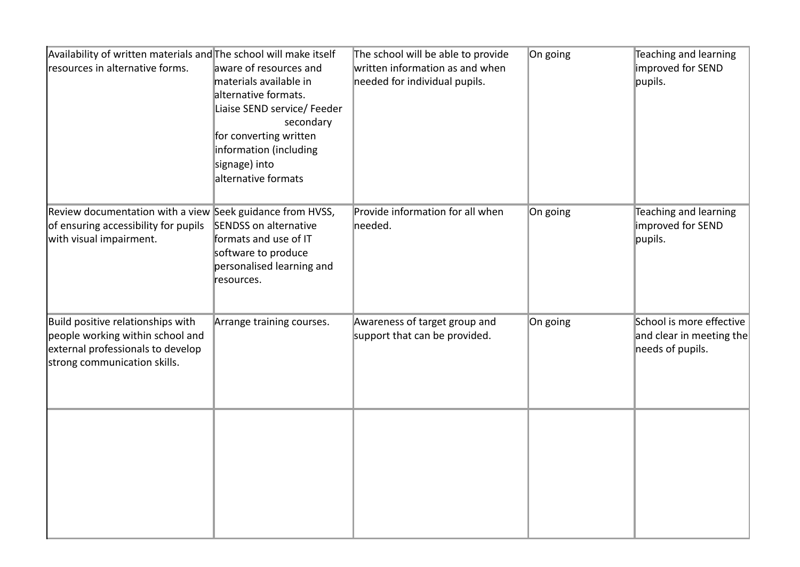| Availability of written materials and The school will make itself<br>resources in alternative forms.                                       | aware of resources and<br>materials available in<br>alternative formats.<br>Liaise SEND service/ Feeder<br>secondary<br>for converting written<br>information (including<br>signage) into<br>alternative formats | The school will be able to provide<br>written information as and when<br>needed for individual pupils. | On going | Teaching and learning<br>improved for SEND<br>pupils.                    |
|--------------------------------------------------------------------------------------------------------------------------------------------|------------------------------------------------------------------------------------------------------------------------------------------------------------------------------------------------------------------|--------------------------------------------------------------------------------------------------------|----------|--------------------------------------------------------------------------|
| Review documentation with a view Seek guidance from HVSS,<br>of ensuring accessibility for pupils<br>with visual impairment.               | <b>SENDSS</b> on alternative<br>formats and use of IT<br>software to produce<br>personalised learning and<br>resources.                                                                                          | Provide information for all when<br>needed.                                                            | On going | Teaching and learning<br>improved for SEND<br>pupils.                    |
| Build positive relationships with<br>people working within school and<br>external professionals to develop<br>strong communication skills. | Arrange training courses.                                                                                                                                                                                        | Awareness of target group and<br>support that can be provided.                                         | On going | School is more effective<br>and clear in meeting the<br>needs of pupils. |
|                                                                                                                                            |                                                                                                                                                                                                                  |                                                                                                        |          |                                                                          |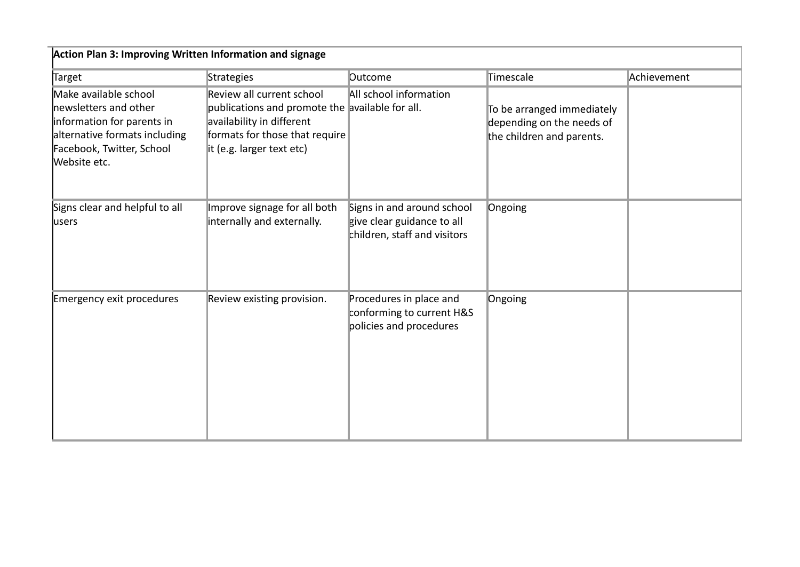| Action Plan 3: Improving Written Information and signage                                                                                                   |                                                                                                                                                                          |                                                                                          |                                                                                      |             |
|------------------------------------------------------------------------------------------------------------------------------------------------------------|--------------------------------------------------------------------------------------------------------------------------------------------------------------------------|------------------------------------------------------------------------------------------|--------------------------------------------------------------------------------------|-------------|
| Target                                                                                                                                                     | Strategies                                                                                                                                                               | <b>Outcome</b>                                                                           | Timescale                                                                            | Achievement |
| Make available school<br>newsletters and other<br>information for parents in<br>alternative formats including<br>Facebook, Twitter, School<br>Website etc. | Review all current school<br>publications and promote the available for all.<br>availability in different<br>formats for those that require<br>it (e.g. larger text etc) | All school information                                                                   | To be arranged immediately<br>depending on the needs of<br>the children and parents. |             |
| Signs clear and helpful to all<br><b>lusers</b>                                                                                                            | Improve signage for all both<br>internally and externally.                                                                                                               | Signs in and around school<br>give clear guidance to all<br>children, staff and visitors | Ongoing                                                                              |             |
| Emergency exit procedures                                                                                                                                  | Review existing provision.                                                                                                                                               | Procedures in place and<br>conforming to current H&S<br>policies and procedures          | Ongoing                                                                              |             |